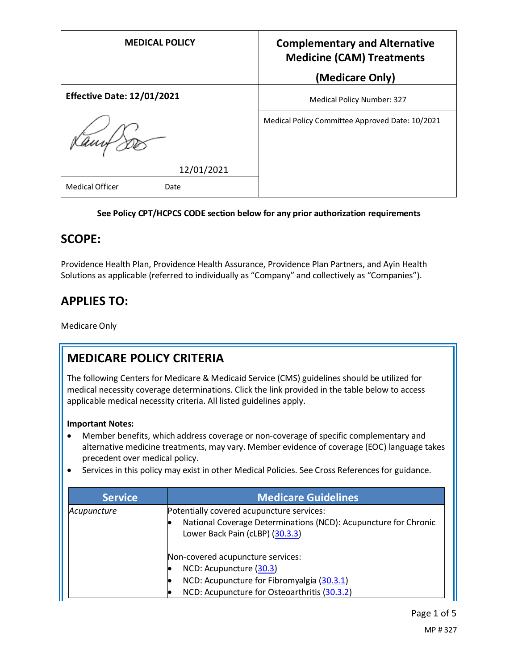| <b>MEDICAL POLICY</b>             | <b>Complementary and Alternative</b><br><b>Medicine (CAM) Treatments</b> |
|-----------------------------------|--------------------------------------------------------------------------|
|                                   | (Medicare Only)                                                          |
| <b>Effective Date: 12/01/2021</b> | Medical Policy Number: 327                                               |
| tam+                              | Medical Policy Committee Approved Date: 10/2021                          |
| 12/01/2021                        |                                                                          |
| <b>Medical Officer</b><br>Date    |                                                                          |

### **See Policy CPT/HCPCS CODE section below for any prior authorization requirements**

### **SCOPE:**

Providence Health Plan, Providence Health Assurance, Providence Plan Partners, and Ayin Health Solutions as applicable (referred to individually as "Company" and collectively as "Companies").

## **APPLIES TO:**

Medicare Only

## **MEDICARE POLICY CRITERIA**

The following Centers for Medicare & Medicaid Service (CMS) guidelines should be utilized for medical necessity coverage determinations. Click the link provided in the table below to access applicable medical necessity criteria. All listed guidelines apply.

### **Important Notes:**

- Member benefits, which address coverage or non-coverage of specific complementary and alternative medicine treatments, may vary. Member evidence of coverage (EOC) language takes precedent over medical policy.
- Services in this policy may exist in other Medical Policies. See Cross References for guidance.

| <b>Service</b> | <b>Medicare Guidelines</b>                                                                                                                      |
|----------------|-------------------------------------------------------------------------------------------------------------------------------------------------|
| Acupuncture    | Potentially covered acupuncture services:<br>National Coverage Determinations (NCD): Acupuncture for Chronic<br>Lower Back Pain (cLBP) (30.3.3) |
|                | Non-covered acupuncture services:                                                                                                               |
|                | NCD: Acupuncture (30.3)                                                                                                                         |
|                | NCD: Acupuncture for Fibromyalgia (30.3.1)<br>IO                                                                                                |
|                | NCD: Acupuncture for Osteoarthritis (30.3.2)                                                                                                    |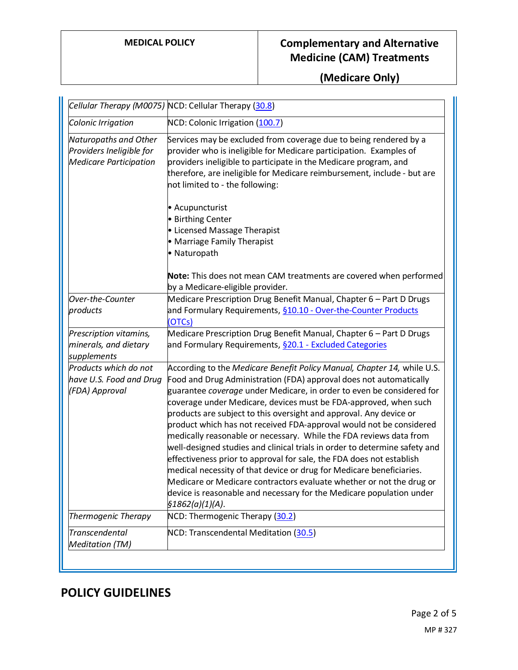# **MEDICAL POLICY Complementary and Alternative Medicine (CAM) Treatments**

**(Medicare Only)**

|                                                                                    | Cellular Therapy (M0075) NCD: Cellular Therapy (30.8)                                                                                                                                                                                                                                                                                                                                                                                                                                                                                                                                                                                                                                                                                                                                                                                                                                                          |
|------------------------------------------------------------------------------------|----------------------------------------------------------------------------------------------------------------------------------------------------------------------------------------------------------------------------------------------------------------------------------------------------------------------------------------------------------------------------------------------------------------------------------------------------------------------------------------------------------------------------------------------------------------------------------------------------------------------------------------------------------------------------------------------------------------------------------------------------------------------------------------------------------------------------------------------------------------------------------------------------------------|
| Colonic Irrigation                                                                 | NCD: Colonic Irrigation (100.7)                                                                                                                                                                                                                                                                                                                                                                                                                                                                                                                                                                                                                                                                                                                                                                                                                                                                                |
| Naturopaths and Other<br>Providers Ineligible for<br><b>Medicare Participation</b> | Services may be excluded from coverage due to being rendered by a<br>provider who is ineligible for Medicare participation. Examples of<br>providers ineligible to participate in the Medicare program, and<br>therefore, are ineligible for Medicare reimbursement, include - but are<br>not limited to - the following:                                                                                                                                                                                                                                                                                                                                                                                                                                                                                                                                                                                      |
|                                                                                    | • Acupuncturist<br>• Birthing Center<br>• Licensed Massage Therapist<br>• Marriage Family Therapist<br>• Naturopath<br>Note: This does not mean CAM treatments are covered when performed                                                                                                                                                                                                                                                                                                                                                                                                                                                                                                                                                                                                                                                                                                                      |
|                                                                                    | by a Medicare-eligible provider.                                                                                                                                                                                                                                                                                                                                                                                                                                                                                                                                                                                                                                                                                                                                                                                                                                                                               |
| Over-the-Counter<br>products                                                       | Medicare Prescription Drug Benefit Manual, Chapter 6 - Part D Drugs<br>and Formulary Requirements, §10.10 - Over-the-Counter Products<br>(OTCs)                                                                                                                                                                                                                                                                                                                                                                                                                                                                                                                                                                                                                                                                                                                                                                |
| Prescription vitamins,<br>minerals, and dietary<br>supplements                     | Medicare Prescription Drug Benefit Manual, Chapter 6 - Part D Drugs<br>and Formulary Requirements, §20.1 - Excluded Categories                                                                                                                                                                                                                                                                                                                                                                                                                                                                                                                                                                                                                                                                                                                                                                                 |
| Products which do not<br>have U.S. Food and Drug<br>(FDA) Approval                 | According to the Medicare Benefit Policy Manual, Chapter 14, while U.S.<br>Food and Drug Administration (FDA) approval does not automatically<br>guarantee coverage under Medicare, in order to even be considered for<br>coverage under Medicare, devices must be FDA-approved, when such<br>products are subject to this oversight and approval. Any device or<br>product which has not received FDA-approval would not be considered<br>medically reasonable or necessary. While the FDA reviews data from<br>well-designed studies and clinical trials in order to determine safety and<br>effectiveness prior to approval for sale, the FDA does not establish<br>medical necessity of that device or drug for Medicare beneficiaries.<br>Medicare or Medicare contractors evaluate whether or not the drug or<br>device is reasonable and necessary for the Medicare population under<br>§1862(a)(1)(A). |
| <b>Thermogenic Therapy</b>                                                         | NCD: Thermogenic Therapy (30.2)                                                                                                                                                                                                                                                                                                                                                                                                                                                                                                                                                                                                                                                                                                                                                                                                                                                                                |
| <b>Transcendental</b><br><b>Meditation (TM)</b>                                    | NCD: Transcendental Meditation (30.5)                                                                                                                                                                                                                                                                                                                                                                                                                                                                                                                                                                                                                                                                                                                                                                                                                                                                          |

## **POLICY GUIDELINES**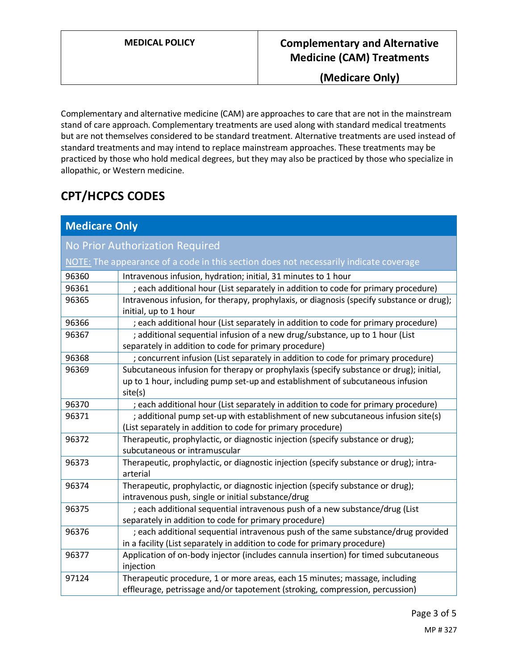**(Medicare Only)**

Complementary and alternative medicine (CAM) are approaches to care that are not in the mainstream stand of care approach. Complementary treatments are used along with standard medical treatments but are not themselves considered to be standard treatment. Alternative treatments are used instead of standard treatments and may intend to replace mainstream approaches. These treatments may be practiced by those who hold medical degrees, but they may also be practiced by those who specialize in allopathic, or Western medicine.

# **CPT/HCPCS CODES**

| <b>Medicare Only</b>                                                                  |                                                                                                                                                                                     |  |
|---------------------------------------------------------------------------------------|-------------------------------------------------------------------------------------------------------------------------------------------------------------------------------------|--|
| No Prior Authorization Required                                                       |                                                                                                                                                                                     |  |
| NOTE: The appearance of a code in this section does not necessarily indicate coverage |                                                                                                                                                                                     |  |
| 96360                                                                                 | Intravenous infusion, hydration; initial, 31 minutes to 1 hour                                                                                                                      |  |
| 96361                                                                                 | ; each additional hour (List separately in addition to code for primary procedure)                                                                                                  |  |
| 96365                                                                                 | Intravenous infusion, for therapy, prophylaxis, or diagnosis (specify substance or drug);<br>initial, up to 1 hour                                                                  |  |
| 96366                                                                                 | ; each additional hour (List separately in addition to code for primary procedure)                                                                                                  |  |
| 96367                                                                                 | ; additional sequential infusion of a new drug/substance, up to 1 hour (List<br>separately in addition to code for primary procedure)                                               |  |
| 96368                                                                                 | ; concurrent infusion (List separately in addition to code for primary procedure)                                                                                                   |  |
| 96369                                                                                 | Subcutaneous infusion for therapy or prophylaxis (specify substance or drug); initial,<br>up to 1 hour, including pump set-up and establishment of subcutaneous infusion<br>site(s) |  |
| 96370                                                                                 | ; each additional hour (List separately in addition to code for primary procedure)                                                                                                  |  |
| 96371                                                                                 | ; additional pump set-up with establishment of new subcutaneous infusion site(s)<br>(List separately in addition to code for primary procedure)                                     |  |
| 96372                                                                                 | Therapeutic, prophylactic, or diagnostic injection (specify substance or drug);<br>subcutaneous or intramuscular                                                                    |  |
| 96373                                                                                 | Therapeutic, prophylactic, or diagnostic injection (specify substance or drug); intra-<br>arterial                                                                                  |  |
| 96374                                                                                 | Therapeutic, prophylactic, or diagnostic injection (specify substance or drug);<br>intravenous push, single or initial substance/drug                                               |  |
| 96375                                                                                 | ; each additional sequential intravenous push of a new substance/drug (List<br>separately in addition to code for primary procedure)                                                |  |
| 96376                                                                                 | ; each additional sequential intravenous push of the same substance/drug provided<br>in a facility (List separately in addition to code for primary procedure)                      |  |
| 96377                                                                                 | Application of on-body injector (includes cannula insertion) for timed subcutaneous<br>injection                                                                                    |  |
| 97124                                                                                 | Therapeutic procedure, 1 or more areas, each 15 minutes; massage, including<br>effleurage, petrissage and/or tapotement (stroking, compression, percussion)                         |  |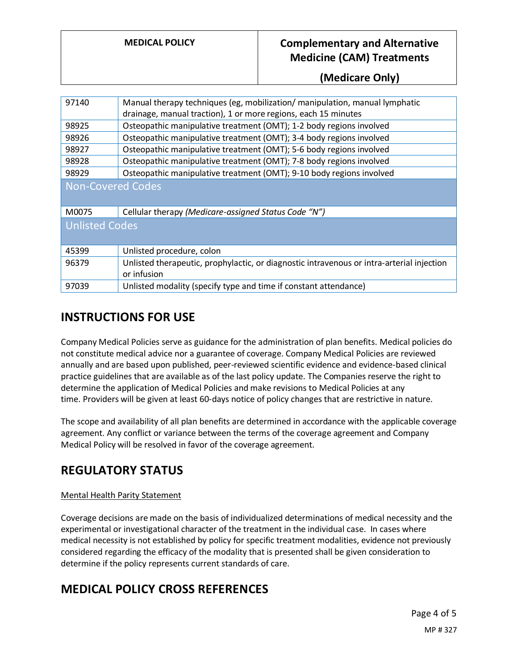### **MEDICAL POLICY Complementary and Alternative Medicine (CAM) Treatments**

**(Medicare Only)**

| 97140                    | Manual therapy techniques (eg, mobilization/ manipulation, manual lymphatic<br>drainage, manual traction), 1 or more regions, each 15 minutes |  |
|--------------------------|-----------------------------------------------------------------------------------------------------------------------------------------------|--|
|                          |                                                                                                                                               |  |
| 98925                    | Osteopathic manipulative treatment (OMT); 1-2 body regions involved                                                                           |  |
| 98926                    | Osteopathic manipulative treatment (OMT); 3-4 body regions involved                                                                           |  |
| 98927                    | Osteopathic manipulative treatment (OMT); 5-6 body regions involved                                                                           |  |
| 98928                    | Osteopathic manipulative treatment (OMT); 7-8 body regions involved                                                                           |  |
| 98929                    | Osteopathic manipulative treatment (OMT); 9-10 body regions involved                                                                          |  |
| <b>Non-Covered Codes</b> |                                                                                                                                               |  |
| M0075                    | Cellular therapy (Medicare-assigned Status Code "N")                                                                                          |  |
| <b>Unlisted Codes</b>    |                                                                                                                                               |  |
| 45399                    | Unlisted procedure, colon                                                                                                                     |  |
| 96379                    | Unlisted therapeutic, prophylactic, or diagnostic intravenous or intra-arterial injection<br>or infusion                                      |  |
| 97039                    | Unlisted modality (specify type and time if constant attendance)                                                                              |  |

### **INSTRUCTIONS FOR USE**

Company Medical Policies serve as guidance for the administration of plan benefits. Medical policies do not constitute medical advice nor a guarantee of coverage. Company Medical Policies are reviewed annually and are based upon published, peer-reviewed scientific evidence and evidence-based clinical practice guidelines that are available as of the last policy update. The Companies reserve the right to determine the application of Medical Policies and make revisions to Medical Policies at any time. Providers will be given at least 60-days notice of policy changes that are restrictive in nature.

The scope and availability of all plan benefits are determined in accordance with the applicable coverage agreement. Any conflict or variance between the terms of the coverage agreement and Company Medical Policy will be resolved in favor of the coverage agreement.

## **REGULATORY STATUS**

### Mental Health Parity Statement

Coverage decisions are made on the basis of individualized determinations of medical necessity and the experimental or investigational character of the treatment in the individual case. In cases where medical necessity is not established by policy for specific treatment modalities, evidence not previously considered regarding the efficacy of the modality that is presented shall be given consideration to determine if the policy represents current standards of care.

### **MEDICAL POLICY CROSS REFERENCES**